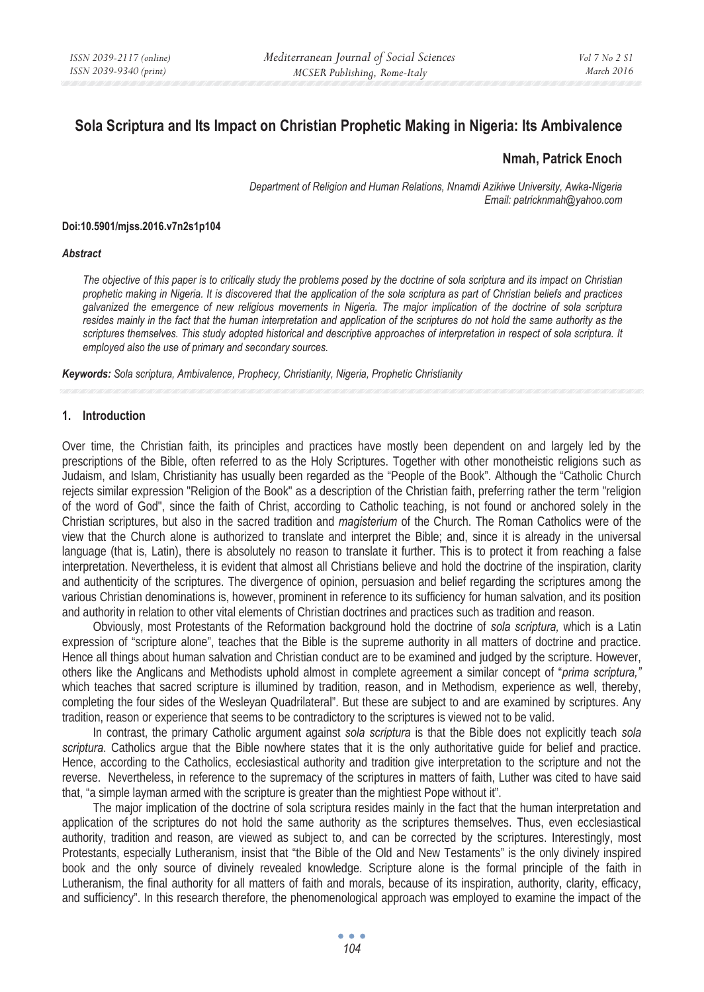# **Sola Scriptura and Its Impact on Christian Prophetic Making in Nigeria: Its Ambivalence**

## **Nmah, Patrick Enoch**

*Department of Religion and Human Relations, Nnamdi Azikiwe University, Awka-Nigeria Email: patricknmah@yahoo.com* 

#### **Doi:10.5901/mjss.2016.v7n2s1p104**

#### *Abstract*

*The objective of this paper is to critically study the problems posed by the doctrine of sola scriptura and its impact on Christian prophetic making in Nigeria. It is discovered that the application of the sola scriptura as part of Christian beliefs and practices galvanized the emergence of new religious movements in Nigeria. The major implication of the doctrine of sola scriptura resides mainly in the fact that the human interpretation and application of the scriptures do not hold the same authority as the scriptures themselves. This study adopted historical and descriptive approaches of interpretation in respect of sola scriptura. It employed also the use of primary and secondary sources.* 

*Keywords: Sola scriptura, Ambivalence, Prophecy, Christianity, Nigeria, Prophetic Christianity*

#### **1. Introduction**

Over time, the Christian faith, its principles and practices have mostly been dependent on and largely led by the prescriptions of the Bible, often referred to as the Holy Scriptures. Together with other monotheistic religions such as Judaism, and Islam, Christianity has usually been regarded as the "People of the Book". Although the "Catholic Church rejects similar expression "Religion of the Book" as a description of the Christian faith, preferring rather the term "religion of the word of God", since the faith of Christ, according to Catholic teaching, is not found or anchored solely in the Christian scriptures, but also in the sacred tradition and *magisterium* of the Church. The Roman Catholics were of the view that the Church alone is authorized to translate and interpret the Bible; and, since it is already in the universal language (that is, Latin), there is absolutely no reason to translate it further. This is to protect it from reaching a false interpretation. Nevertheless, it is evident that almost all Christians believe and hold the doctrine of the inspiration, clarity and authenticity of the scriptures. The divergence of opinion, persuasion and belief regarding the scriptures among the various Christian denominations is, however, prominent in reference to its sufficiency for human salvation, and its position and authority in relation to other vital elements of Christian doctrines and practices such as tradition and reason.

Obviously, most Protestants of the Reformation background hold the doctrine of *sola scriptura,* which is a Latin expression of "scripture alone", teaches that the Bible is the supreme authority in all matters of doctrine and practice. Hence all things about human salvation and Christian conduct are to be examined and judged by the scripture. However, others like the Anglicans and Methodists uphold almost in complete agreement a similar concept of "*prima scriptura,"* which teaches that sacred scripture is illumined by tradition, reason, and in Methodism, experience as well, thereby, completing the four sides of the Wesleyan Quadrilateral". But these are subject to and are examined by scriptures. Any tradition, reason or experience that seems to be contradictory to the scriptures is viewed not to be valid.

In contrast, the primary Catholic argument against *sola scriptura* is that the Bible does not explicitly teach *sola scriptura*. Catholics argue that the Bible nowhere states that it is the only authoritative guide for belief and practice. Hence, according to the Catholics, ecclesiastical authority and tradition give interpretation to the scripture and not the reverse. Nevertheless, in reference to the supremacy of the scriptures in matters of faith, Luther was cited to have said that, "a simple layman armed with the scripture is greater than the mightiest Pope without it".

The major implication of the doctrine of sola scriptura resides mainly in the fact that the human interpretation and application of the scriptures do not hold the same authority as the scriptures themselves. Thus, even ecclesiastical authority, tradition and reason, are viewed as subject to, and can be corrected by the scriptures. Interestingly, most Protestants, especially Lutheranism, insist that "the Bible of the Old and New Testaments" is the only divinely inspired book and the only source of divinely revealed knowledge. Scripture alone is the formal principle of the faith in Lutheranism, the final authority for all matters of faith and morals, because of its inspiration, authority, clarity, efficacy, and sufficiency". In this research therefore, the phenomenological approach was employed to examine the impact of the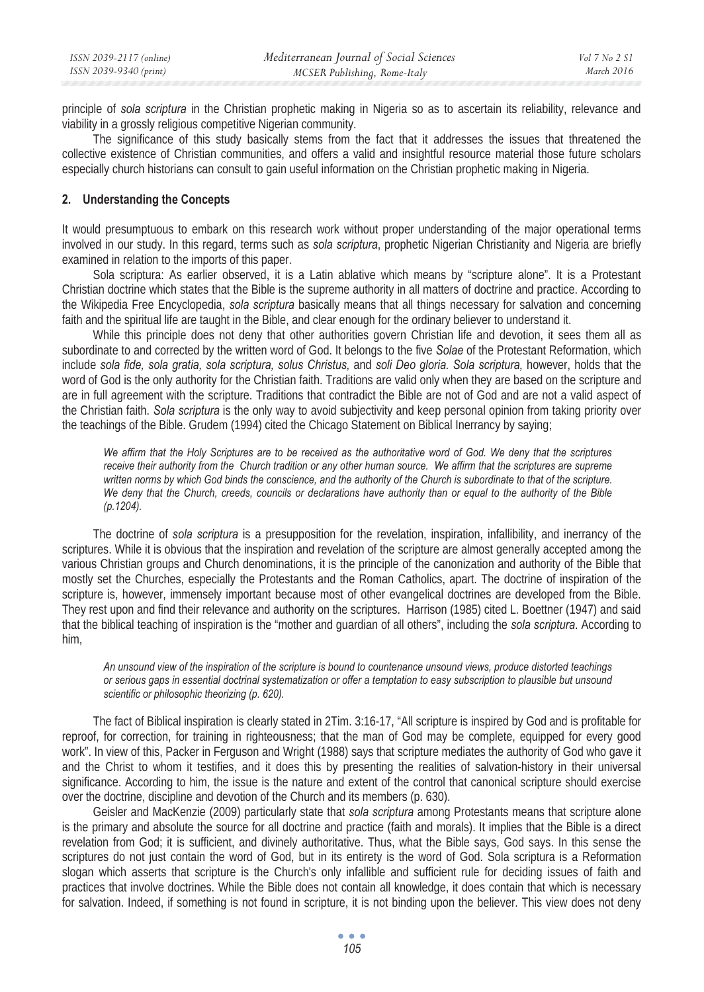principle of *sola scriptura* in the Christian prophetic making in Nigeria so as to ascertain its reliability, relevance and viability in a grossly religious competitive Nigerian community.

The significance of this study basically stems from the fact that it addresses the issues that threatened the collective existence of Christian communities, and offers a valid and insightful resource material those future scholars especially church historians can consult to gain useful information on the Christian prophetic making in Nigeria.

## **2. Understanding the Concepts**

It would presumptuous to embark on this research work without proper understanding of the major operational terms involved in our study. In this regard, terms such as *sola scriptura*, prophetic Nigerian Christianity and Nigeria are briefly examined in relation to the imports of this paper.

Sola scriptura: As earlier observed, it is a Latin ablative which means by "scripture alone". It is a Protestant Christian doctrine which states that the Bible is the supreme authority in all matters of doctrine and practice. According to the Wikipedia Free Encyclopedia, *sola scriptura* basically means that all things necessary for salvation and concerning faith and the spiritual life are taught in the Bible, and clear enough for the ordinary believer to understand it.

While this principle does not deny that other authorities govern Christian life and devotion, it sees them all as subordinate to and corrected by the written word of God. It belongs to the five *Solae* of the Protestant Reformation, which include *sola fide, sola gratia, sola scriptura, solus Christus,* and *soli Deo gloria. Sola scriptura,* however, holds that the word of God is the only authority for the Christian faith. Traditions are valid only when they are based on the scripture and are in full agreement with the scripture. Traditions that contradict the Bible are not of God and are not a valid aspect of the Christian faith. *Sola scriptura* is the only way to avoid subjectivity and keep personal opinion from taking priority over the teachings of the Bible. Grudem (1994) cited the Chicago Statement on Biblical Inerrancy by saying;

*We affirm that the Holy Scriptures are to be received as the authoritative word of God. We deny that the scriptures receive their authority from the Church tradition or any other human source. We affirm that the scriptures are supreme written norms by which God binds the conscience, and the authority of the Church is subordinate to that of the scripture. We deny that the Church, creeds, councils or declarations have authority than or equal to the authority of the Bible (p.1204).* 

The doctrine of *sola scriptura* is a presupposition for the revelation, inspiration, infallibility, and inerrancy of the scriptures. While it is obvious that the inspiration and revelation of the scripture are almost generally accepted among the various Christian groups and Church denominations, it is the principle of the canonization and authority of the Bible that mostly set the Churches, especially the Protestants and the Roman Catholics, apart. The doctrine of inspiration of the scripture is, however, immensely important because most of other evangelical doctrines are developed from the Bible. They rest upon and find their relevance and authority on the scriptures. Harrison (1985) cited L. Boettner (1947) and said that the biblical teaching of inspiration is the "mother and guardian of all others", including the *sola scriptura*. According to him,

*An unsound view of the inspiration of the scripture is bound to countenance unsound views, produce distorted teachings or serious gaps in essential doctrinal systematization or offer a temptation to easy subscription to plausible but unsound scientific or philosophic theorizing (p. 620).* 

The fact of Biblical inspiration is clearly stated in 2Tim. 3:16-17, "All scripture is inspired by God and is profitable for reproof, for correction, for training in righteousness; that the man of God may be complete, equipped for every good work". In view of this, Packer in Ferguson and Wright (1988) says that scripture mediates the authority of God who gave it and the Christ to whom it testifies, and it does this by presenting the realities of salvation-history in their universal significance. According to him, the issue is the nature and extent of the control that canonical scripture should exercise over the doctrine, discipline and devotion of the Church and its members (p. 630).

Geisler and MacKenzie (2009) particularly state that *sola scriptura* among Protestants means that scripture alone is the primary and absolute the source for all doctrine and practice (faith and morals). It implies that the Bible is a direct revelation from God; it is sufficient, and divinely authoritative. Thus, what the Bible says, God says. In this sense the scriptures do not just contain the word of God, but in its entirety is the word of God. Sola scriptura is a Reformation slogan which asserts that scripture is the Church's only infallible and sufficient rule for deciding issues of faith and practices that involve doctrines. While the Bible does not contain all knowledge, it does contain that which is necessary for salvation. Indeed, if something is not found in scripture, it is not binding upon the believer. This view does not deny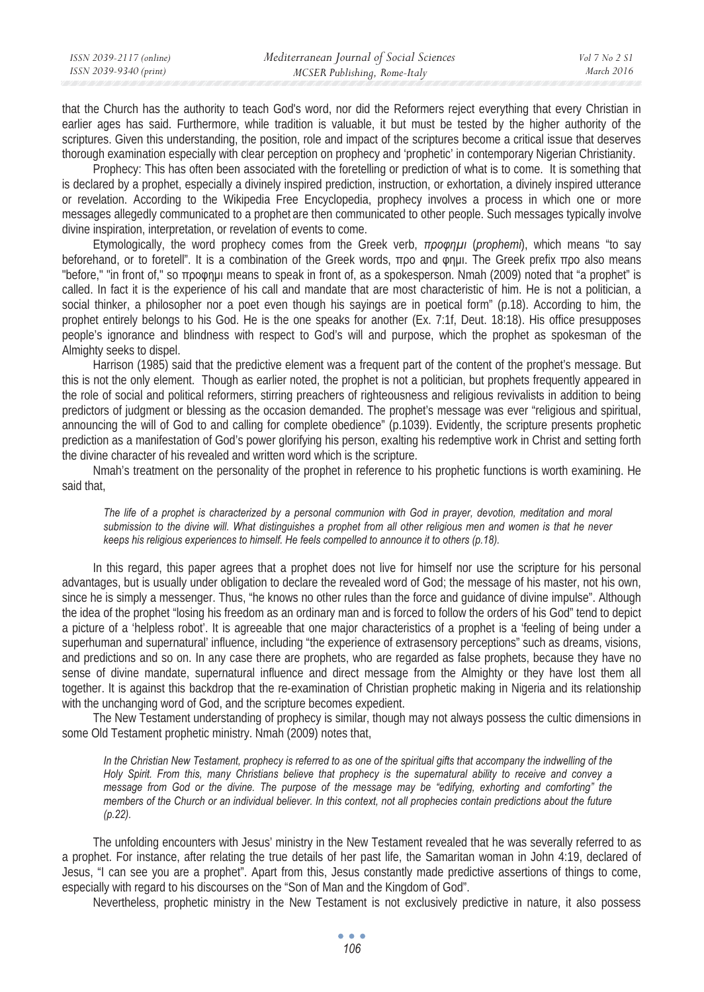| ISSN 2039-2117 (online) | Mediterranean Journal of Social Sciences | Vol 7 No 2 SI |
|-------------------------|------------------------------------------|---------------|
| ISSN 2039-9340 (print)  | MCSER Publishing, Rome-Italy             | March 2016    |

that the Church has the authority to teach God's word, nor did the Reformers reject everything that every Christian in earlier ages has said. Furthermore, while tradition is valuable, it but must be tested by the higher authority of the scriptures. Given this understanding, the position, role and impact of the scriptures become a critical issue that deserves thorough examination especially with clear perception on prophecy and 'prophetic' in contemporary Nigerian Christianity.

Prophecy: This has often been associated with the foretelling or prediction of what is to come. It is something that is declared by a prophet, especially a divinely inspired prediction, instruction, or exhortation, a divinely inspired utterance or revelation. According to the Wikipedia Free Encyclopedia, prophecy involves a process in which one or more messages allegedly communicated to a prophet are then communicated to other people. Such messages typically involve divine inspiration, interpretation, or revelation of events to come.

Etymologically, the word prophecy comes from the Greek verb, *προφημι* (*prophemi*), which means "to say beforehand, or to foretell". It is a combination of the Greek words,  $\pi$ po and onul. The Greek prefix  $\pi$ po also means "before," "in front of," so προφημι means to speak in front of, as a spokesperson. Nmah (2009) noted that "a prophet" is called. In fact it is the experience of his call and mandate that are most characteristic of him. He is not a politician, a social thinker, a philosopher nor a poet even though his sayings are in poetical form" (p.18). According to him, the prophet entirely belongs to his God. He is the one speaks for another (Ex. 7:1f, Deut. 18:18). His office presupposes people's ignorance and blindness with respect to God's will and purpose, which the prophet as spokesman of the Almighty seeks to dispel.

Harrison (1985) said that the predictive element was a frequent part of the content of the prophet's message. But this is not the only element. Though as earlier noted, the prophet is not a politician, but prophets frequently appeared in the role of social and political reformers, stirring preachers of righteousness and religious revivalists in addition to being predictors of judgment or blessing as the occasion demanded. The prophet's message was ever "religious and spiritual, announcing the will of God to and calling for complete obedience" (p.1039). Evidently, the scripture presents prophetic prediction as a manifestation of God's power glorifying his person, exalting his redemptive work in Christ and setting forth the divine character of his revealed and written word which is the scripture.

Nmah's treatment on the personality of the prophet in reference to his prophetic functions is worth examining. He said that,

*The life of a prophet is characterized by a personal communion with God in prayer, devotion, meditation and moral submission to the divine will. What distinguishes a prophet from all other religious men and women is that he never keeps his religious experiences to himself. He feels compelled to announce it to others (p.18).* 

In this regard, this paper agrees that a prophet does not live for himself nor use the scripture for his personal advantages, but is usually under obligation to declare the revealed word of God; the message of his master, not his own, since he is simply a messenger. Thus, "he knows no other rules than the force and guidance of divine impulse". Although the idea of the prophet "losing his freedom as an ordinary man and is forced to follow the orders of his God" tend to depict a picture of a 'helpless robot'. It is agreeable that one major characteristics of a prophet is a 'feeling of being under a superhuman and supernatural' influence, including "the experience of extrasensory perceptions" such as dreams, visions, and predictions and so on. In any case there are prophets, who are regarded as false prophets, because they have no sense of divine mandate, supernatural influence and direct message from the Almighty or they have lost them all together. It is against this backdrop that the re-examination of Christian prophetic making in Nigeria and its relationship with the unchanging word of God, and the scripture becomes expedient.

The New Testament understanding of prophecy is similar, though may not always possess the cultic dimensions in some Old Testament prophetic ministry. Nmah (2009) notes that,

In the Christian New Testament, prophecy is referred to as one of the spiritual gifts that accompany the indwelling of the *Holy Spirit. From this, many Christians believe that prophecy is the supernatural ability to receive and convey a message from God or the divine. The purpose of the message may be "edifying, exhorting and comforting" the members of the Church or an individual believer. In this context, not all prophecies contain predictions about the future (p.22).* 

The unfolding encounters with Jesus' ministry in the New Testament revealed that he was severally referred to as a prophet. For instance, after relating the true details of her past life, the Samaritan woman in John 4:19, declared of Jesus, "I can see you are a prophet". Apart from this, Jesus constantly made predictive assertions of things to come, especially with regard to his discourses on the "Son of Man and the Kingdom of God".

Nevertheless, prophetic ministry in the New Testament is not exclusively predictive in nature, it also possess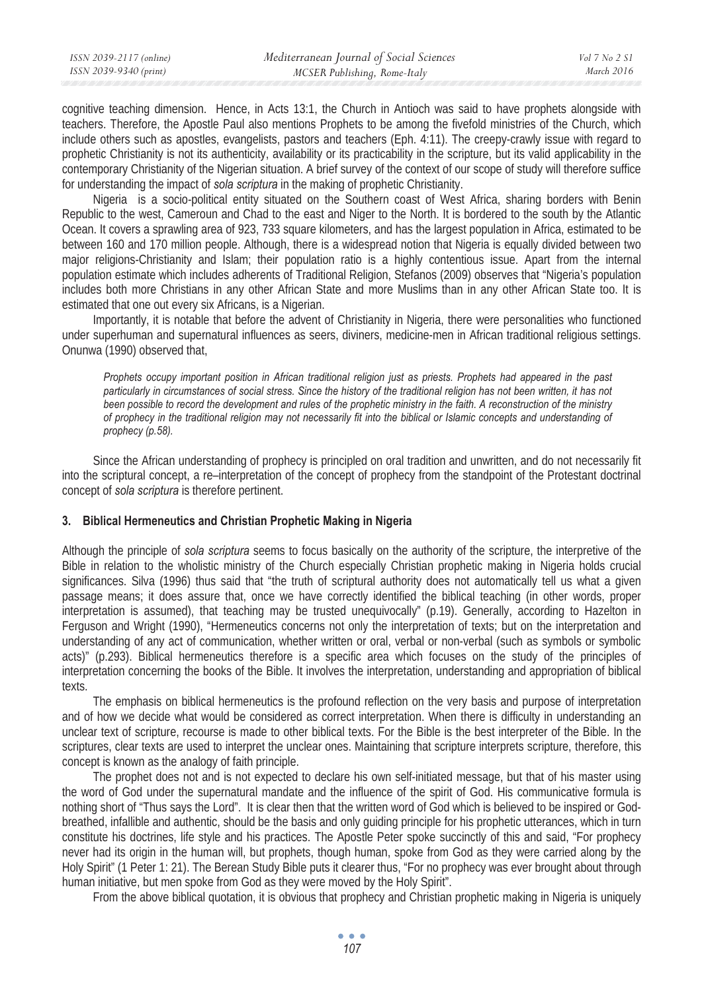cognitive teaching dimension. Hence, in Acts 13:1, the Church in Antioch was said to have prophets alongside with teachers. Therefore, the Apostle Paul also mentions Prophets to be among the fivefold ministries of the Church, which include others such as apostles, evangelists, pastors and teachers (Eph. 4:11). The creepy-crawly issue with regard to prophetic Christianity is not its authenticity, availability or its practicability in the scripture, but its valid applicability in the contemporary Christianity of the Nigerian situation. A brief survey of the context of our scope of study will therefore suffice for understanding the impact of *sola scriptura* in the making of prophetic Christianity.

Nigeria is a socio-political entity situated on the Southern coast of West Africa, sharing borders with Benin Republic to the west, Cameroun and Chad to the east and Niger to the North. It is bordered to the south by the Atlantic Ocean. It covers a sprawling area of 923, 733 square kilometers, and has the largest population in Africa, estimated to be between 160 and 170 million people. Although, there is a widespread notion that Nigeria is equally divided between two major religions-Christianity and Islam; their population ratio is a highly contentious issue. Apart from the internal population estimate which includes adherents of Traditional Religion, Stefanos (2009) observes that "Nigeria's population includes both more Christians in any other African State and more Muslims than in any other African State too. It is estimated that one out every six Africans, is a Nigerian.

Importantly, it is notable that before the advent of Christianity in Nigeria, there were personalities who functioned under superhuman and supernatural influences as seers, diviners, medicine-men in African traditional religious settings. Onunwa (1990) observed that,

*Prophets occupy important position in African traditional religion just as priests. Prophets had appeared in the past particularly in circumstances of social stress. Since the history of the traditional religion has not been written, it has not*  been possible to record the development and rules of the prophetic ministry in the faith. A reconstruction of the ministry *of prophecy in the traditional religion may not necessarily fit into the biblical or Islamic concepts and understanding of prophecy (p.58).* 

Since the African understanding of prophecy is principled on oral tradition and unwritten, and do not necessarily fit into the scriptural concept, a re–interpretation of the concept of prophecy from the standpoint of the Protestant doctrinal concept of *sola scriptura* is therefore pertinent.

#### **3. Biblical Hermeneutics and Christian Prophetic Making in Nigeria**

Although the principle of *sola scriptura* seems to focus basically on the authority of the scripture, the interpretive of the Bible in relation to the wholistic ministry of the Church especially Christian prophetic making in Nigeria holds crucial significances. Silva (1996) thus said that "the truth of scriptural authority does not automatically tell us what a given passage means; it does assure that, once we have correctly identified the biblical teaching (in other words, proper interpretation is assumed), that teaching may be trusted unequivocally" (p.19). Generally, according to Hazelton in Ferguson and Wright (1990), "Hermeneutics concerns not only the interpretation of texts; but on the interpretation and understanding of any act of communication, whether written or oral, verbal or non-verbal (such as symbols or symbolic acts)" (p.293). Biblical hermeneutics therefore is a specific area which focuses on the study of the principles of interpretation concerning the books of the Bible. It involves the interpretation, understanding and appropriation of biblical texts.

The emphasis on biblical hermeneutics is the profound reflection on the very basis and purpose of interpretation and of how we decide what would be considered as correct interpretation. When there is difficulty in understanding an unclear text of scripture, recourse is made to other biblical texts. For the Bible is the best interpreter of the Bible. In the scriptures, clear texts are used to interpret the unclear ones. Maintaining that scripture interprets scripture, therefore, this concept is known as the analogy of faith principle.

The prophet does not and is not expected to declare his own self-initiated message, but that of his master using the word of God under the supernatural mandate and the influence of the spirit of God. His communicative formula is nothing short of "Thus says the Lord". It is clear then that the written word of God which is believed to be inspired or Godbreathed, infallible and authentic, should be the basis and only guiding principle for his prophetic utterances, which in turn constitute his doctrines, life style and his practices. The Apostle Peter spoke succinctly of this and said, "For prophecy never had its origin in the human will, but prophets, though human, spoke from God as they were carried along by the Holy Spirit" (1 Peter 1: 21). The Berean Study Bible puts it clearer thus, "For no prophecy was ever brought about through human initiative, but men spoke from God as they were moved by the Holy Spirit".

From the above biblical quotation, it is obvious that prophecy and Christian prophetic making in Nigeria is uniquely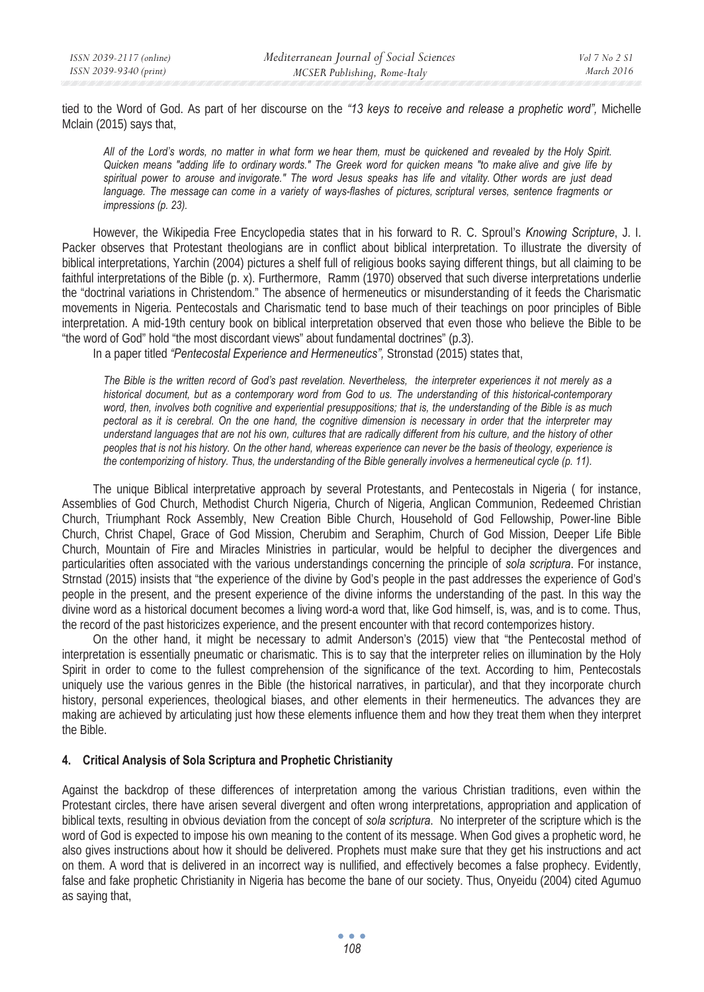tied to the Word of God. As part of her discourse on the *"13 keys to receive and release a prophetic word",* Michelle Mclain (2015) says that,

*All of the Lord's words, no matter in what form we hear them, must be quickened and revealed by the Holy Spirit. Quicken means "adding life to ordinary words." The Greek word for quicken means "to make alive and give life by spiritual power to arouse and invigorate." The word Jesus speaks has life and vitality. Other words are just dead language. The message can come in a variety of ways-flashes of pictures, scriptural verses, sentence fragments or impressions (p. 23).* 

However, the Wikipedia Free Encyclopedia states that in his forward to R. C. Sproul's *Knowing Scripture*, J. I. Packer observes that Protestant theologians are in conflict about biblical interpretation. To illustrate the diversity of biblical interpretations, Yarchin (2004) pictures a shelf full of religious books saying different things, but all claiming to be faithful interpretations of the Bible (p. x). Furthermore, Ramm (1970) observed that such diverse interpretations underlie the "doctrinal variations in Christendom." The absence of hermeneutics or misunderstanding of it feeds the Charismatic movements in Nigeria. Pentecostals and Charismatic tend to base much of their teachings on poor principles of Bible interpretation. A mid-19th century book on biblical interpretation observed that even those who believe the Bible to be "the word of God" hold "the most discordant views" about fundamental doctrines" (p.3).

In a paper titled *"Pentecostal Experience and Hermeneutics",* Stronstad (2015) states that,

*The Bible is the written record of God's past revelation. Nevertheless, the interpreter experiences it not merely as a historical document, but as a contemporary word from God to us. The understanding of this historical-contemporary word, then, involves both cognitive and experiential presuppositions; that is, the understanding of the Bible is as much pectoral as it is cerebral. On the one hand, the cognitive dimension is necessary in order that the interpreter may understand languages that are not his own, cultures that are radically different from his culture, and the history of other peoples that is not his history. On the other hand, whereas experience can never be the basis of theology, experience is the contemporizing of history. Thus, the understanding of the Bible generally involves a hermeneutical cycle (p. 11).* 

The unique Biblical interpretative approach by several Protestants, and Pentecostals in Nigeria ( for instance, Assemblies of God Church, Methodist Church Nigeria, Church of Nigeria, Anglican Communion, Redeemed Christian Church, Triumphant Rock Assembly, New Creation Bible Church, Household of God Fellowship, Power-line Bible Church, Christ Chapel, Grace of God Mission, Cherubim and Seraphim, Church of God Mission, Deeper Life Bible Church, Mountain of Fire and Miracles Ministries in particular, would be helpful to decipher the divergences and particularities often associated with the various understandings concerning the principle of *sola scriptura*. For instance, Strnstad (2015) insists that "the experience of the divine by God's people in the past addresses the experience of God's people in the present, and the present experience of the divine informs the understanding of the past. In this way the divine word as a historical document becomes a living word-a word that, like God himself, is, was, and is to come. Thus, the record of the past historicizes experience, and the present encounter with that record contemporizes history.

On the other hand, it might be necessary to admit Anderson's (2015) view that "the Pentecostal method of interpretation is essentially pneumatic or charismatic. This is to say that the interpreter relies on illumination by the Holy Spirit in order to come to the fullest comprehension of the significance of the text. According to him, Pentecostals uniquely use the various genres in the Bible (the historical narratives, in particular), and that they incorporate church history, personal experiences, theological biases, and other elements in their hermeneutics. The advances they are making are achieved by articulating just how these elements influence them and how they treat them when they interpret the Bible.

#### **4. Critical Analysis of Sola Scriptura and Prophetic Christianity**

Against the backdrop of these differences of interpretation among the various Christian traditions, even within the Protestant circles, there have arisen several divergent and often wrong interpretations, appropriation and application of biblical texts, resulting in obvious deviation from the concept of *sola scriptura*. No interpreter of the scripture which is the word of God is expected to impose his own meaning to the content of its message. When God gives a prophetic word, he also gives instructions about how it should be delivered. Prophets must make sure that they get his instructions and act on them. A word that is delivered in an incorrect way is nullified, and effectively becomes a false prophecy. Evidently, false and fake prophetic Christianity in Nigeria has become the bane of our society. Thus, Onyeidu (2004) cited Agumuo as saying that,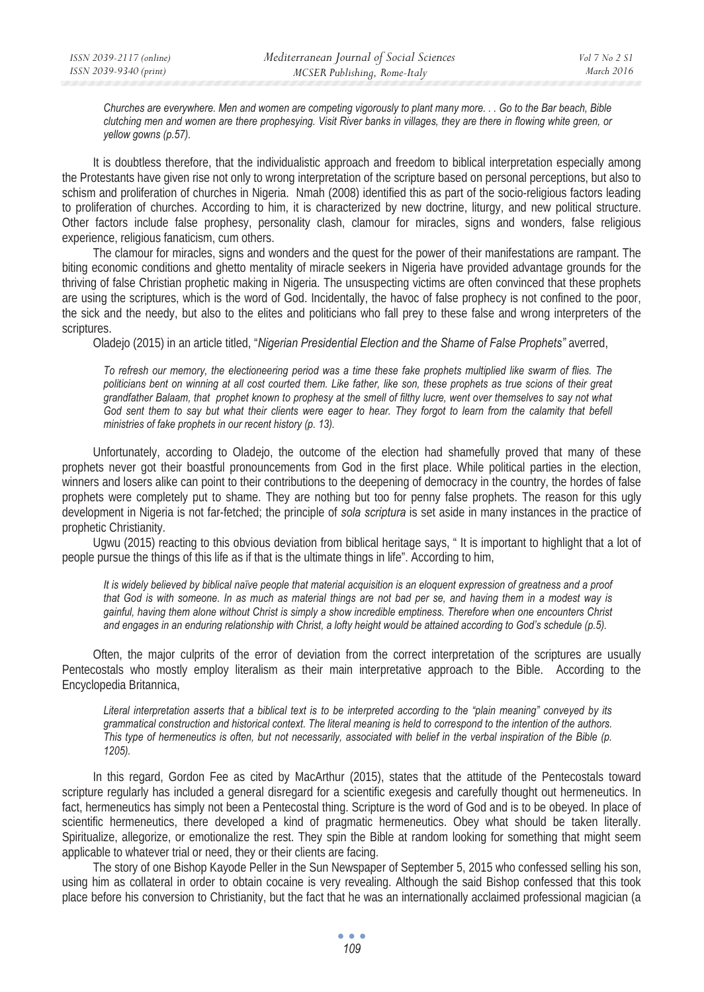*Churches are everywhere. Men and women are competing vigorously to plant many more. . . Go to the Bar beach, Bible clutching men and women are there prophesying. Visit River banks in villages, they are there in flowing white green, or yellow gowns (p.57).* 

It is doubtless therefore, that the individualistic approach and freedom to biblical interpretation especially among the Protestants have given rise not only to wrong interpretation of the scripture based on personal perceptions, but also to schism and proliferation of churches in Nigeria. Nmah (2008) identified this as part of the socio-religious factors leading to proliferation of churches. According to him, it is characterized by new doctrine, liturgy, and new political structure. Other factors include false prophesy, personality clash, clamour for miracles, signs and wonders, false religious experience, religious fanaticism, cum others.

The clamour for miracles, signs and wonders and the quest for the power of their manifestations are rampant. The biting economic conditions and ghetto mentality of miracle seekers in Nigeria have provided advantage grounds for the thriving of false Christian prophetic making in Nigeria. The unsuspecting victims are often convinced that these prophets are using the scriptures, which is the word of God. Incidentally, the havoc of false prophecy is not confined to the poor, the sick and the needy, but also to the elites and politicians who fall prey to these false and wrong interpreters of the scriptures.

Oladejo (2015) in an article titled, "*Nigerian Presidential Election and the Shame of False Prophets"* averred,

*To refresh our memory, the electioneering period was a time these fake prophets multiplied like swarm of flies. The politicians bent on winning at all cost courted them. Like father, like son, these prophets as true scions of their great grandfather Balaam, that prophet known to prophesy at the smell of filthy lucre, went over themselves to say not what*  God sent them to say but what their clients were eager to hear. They forgot to learn from the calamity that befell *ministries of fake prophets in our recent history (p. 13).* 

Unfortunately, according to Oladejo, the outcome of the election had shamefully proved that many of these prophets never got their boastful pronouncements from God in the first place. While political parties in the election, winners and losers alike can point to their contributions to the deepening of democracy in the country, the hordes of false prophets were completely put to shame. They are nothing but too for penny false prophets. The reason for this ugly development in Nigeria is not far-fetched; the principle of *sola scriptura* is set aside in many instances in the practice of prophetic Christianity.

Ugwu (2015) reacting to this obvious deviation from biblical heritage says, " It is important to highlight that a lot of people pursue the things of this life as if that is the ultimate things in life". According to him,

*It is widely believed by biblical naïve people that material acquisition is an eloquent expression of greatness and a proof that God is with someone. In as much as material things are not bad per se, and having them in a modest way is gainful, having them alone without Christ is simply a show incredible emptiness. Therefore when one encounters Christ and engages in an enduring relationship with Christ, a lofty height would be attained according to God's schedule (p.5).* 

Often, the major culprits of the error of deviation from the correct interpretation of the scriptures are usually Pentecostals who mostly employ literalism as their main interpretative approach to the Bible. According to the Encyclopedia Britannica,

*Literal interpretation asserts that a biblical text is to be interpreted according to the "plain meaning" conveyed by its grammatical construction and historical context. The literal meaning is held to correspond to the intention of the authors. This type of hermeneutics is often, but not necessarily, associated with belief in the verbal inspiration of the Bible (p. 1205).* 

In this regard, Gordon Fee as cited by MacArthur (2015), states that the attitude of the Pentecostals toward scripture regularly has included a general disregard for a scientific exegesis and carefully thought out hermeneutics. In fact, hermeneutics has simply not been a Pentecostal thing. Scripture is the word of God and is to be obeyed. In place of scientific hermeneutics, there developed a kind of pragmatic hermeneutics. Obey what should be taken literally. Spiritualize, allegorize, or emotionalize the rest. They spin the Bible at random looking for something that might seem applicable to whatever trial or need, they or their clients are facing.

The story of one Bishop Kayode Peller in the Sun Newspaper of September 5, 2015 who confessed selling his son, using him as collateral in order to obtain cocaine is very revealing. Although the said Bishop confessed that this took place before his conversion to Christianity, but the fact that he was an internationally acclaimed professional magician (a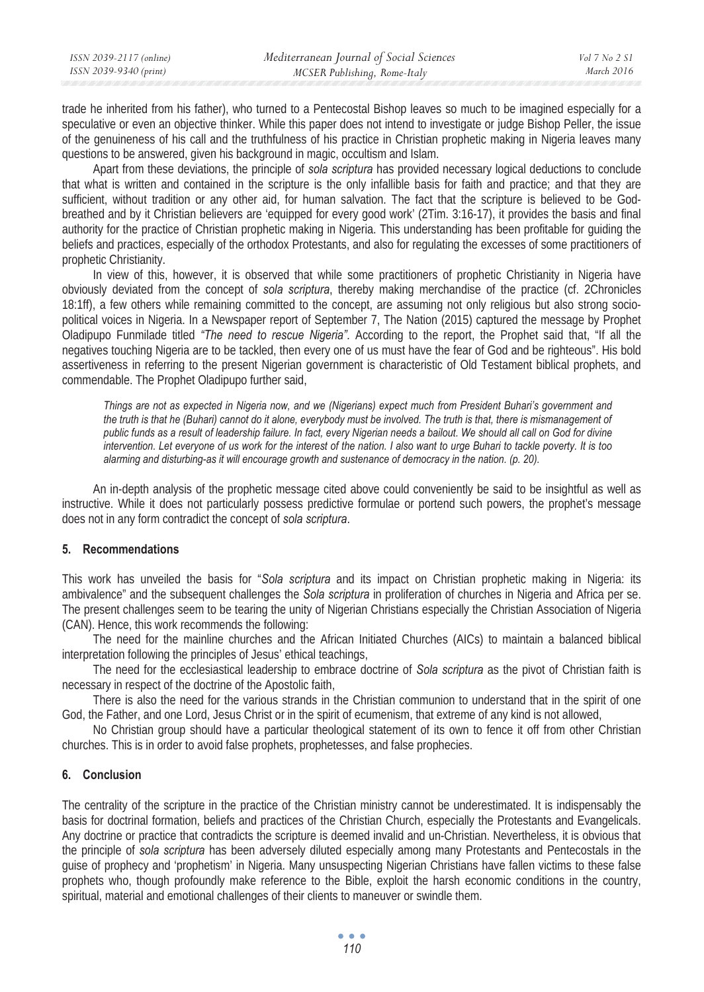| ISSN 2039-2117 (online) | Mediterranean Journal of Social Sciences | Vol 7 No 2 S1 |
|-------------------------|------------------------------------------|---------------|
| ISSN 2039-9340 (print)  | MCSER Publishing, Rome-Italy             | March 2016    |

trade he inherited from his father), who turned to a Pentecostal Bishop leaves so much to be imagined especially for a speculative or even an objective thinker. While this paper does not intend to investigate or judge Bishop Peller, the issue of the genuineness of his call and the truthfulness of his practice in Christian prophetic making in Nigeria leaves many questions to be answered, given his background in magic, occultism and Islam.

Apart from these deviations, the principle of *sola scriptura* has provided necessary logical deductions to conclude that what is written and contained in the scripture is the only infallible basis for faith and practice; and that they are sufficient, without tradition or any other aid, for human salvation. The fact that the scripture is believed to be Godbreathed and by it Christian believers are 'equipped for every good work' (2Tim. 3:16-17), it provides the basis and final authority for the practice of Christian prophetic making in Nigeria. This understanding has been profitable for guiding the beliefs and practices, especially of the orthodox Protestants, and also for regulating the excesses of some practitioners of prophetic Christianity.

In view of this, however, it is observed that while some practitioners of prophetic Christianity in Nigeria have obviously deviated from the concept of *sola scriptura*, thereby making merchandise of the practice (cf. 2Chronicles 18:1ff), a few others while remaining committed to the concept, are assuming not only religious but also strong sociopolitical voices in Nigeria. In a Newspaper report of September 7, The Nation (2015) captured the message by Prophet Oladipupo Funmilade titled *"The need to rescue Nigeria".* According to the report, the Prophet said that, "If all the negatives touching Nigeria are to be tackled, then every one of us must have the fear of God and be righteous". His bold assertiveness in referring to the present Nigerian government is characteristic of Old Testament biblical prophets, and commendable. The Prophet Oladipupo further said,

*Things are not as expected in Nigeria now, and we (Nigerians) expect much from President Buhari's government and the truth is that he (Buhari) cannot do it alone, everybody must be involved. The truth is that, there is mismanagement of public funds as a result of leadership failure. In fact, every Nigerian needs a bailout. We should all call on God for divine intervention. Let everyone of us work for the interest of the nation. I also want to urge Buhari to tackle poverty. It is too alarming and disturbing-as it will encourage growth and sustenance of democracy in the nation. (p. 20).* 

An in-depth analysis of the prophetic message cited above could conveniently be said to be insightful as well as instructive. While it does not particularly possess predictive formulae or portend such powers, the prophet's message does not in any form contradict the concept of *sola scriptura*.

## **5. Recommendations**

This work has unveiled the basis for "*Sola scriptura* and its impact on Christian prophetic making in Nigeria: its ambivalence" and the subsequent challenges the *Sola scriptura* in proliferation of churches in Nigeria and Africa per se. The present challenges seem to be tearing the unity of Nigerian Christians especially the Christian Association of Nigeria (CAN). Hence, this work recommends the following:

The need for the mainline churches and the African Initiated Churches (AICs) to maintain a balanced biblical interpretation following the principles of Jesus' ethical teachings,

The need for the ecclesiastical leadership to embrace doctrine of *Sola scriptura* as the pivot of Christian faith is necessary in respect of the doctrine of the Apostolic faith,

There is also the need for the various strands in the Christian communion to understand that in the spirit of one God, the Father, and one Lord, Jesus Christ or in the spirit of ecumenism, that extreme of any kind is not allowed,

No Christian group should have a particular theological statement of its own to fence it off from other Christian churches. This is in order to avoid false prophets, prophetesses, and false prophecies.

#### **6. Conclusion**

The centrality of the scripture in the practice of the Christian ministry cannot be underestimated. It is indispensably the basis for doctrinal formation, beliefs and practices of the Christian Church, especially the Protestants and Evangelicals. Any doctrine or practice that contradicts the scripture is deemed invalid and un-Christian. Nevertheless, it is obvious that the principle of *sola scriptura* has been adversely diluted especially among many Protestants and Pentecostals in the guise of prophecy and 'prophetism' in Nigeria. Many unsuspecting Nigerian Christians have fallen victims to these false prophets who, though profoundly make reference to the Bible, exploit the harsh economic conditions in the country, spiritual, material and emotional challenges of their clients to maneuver or swindle them.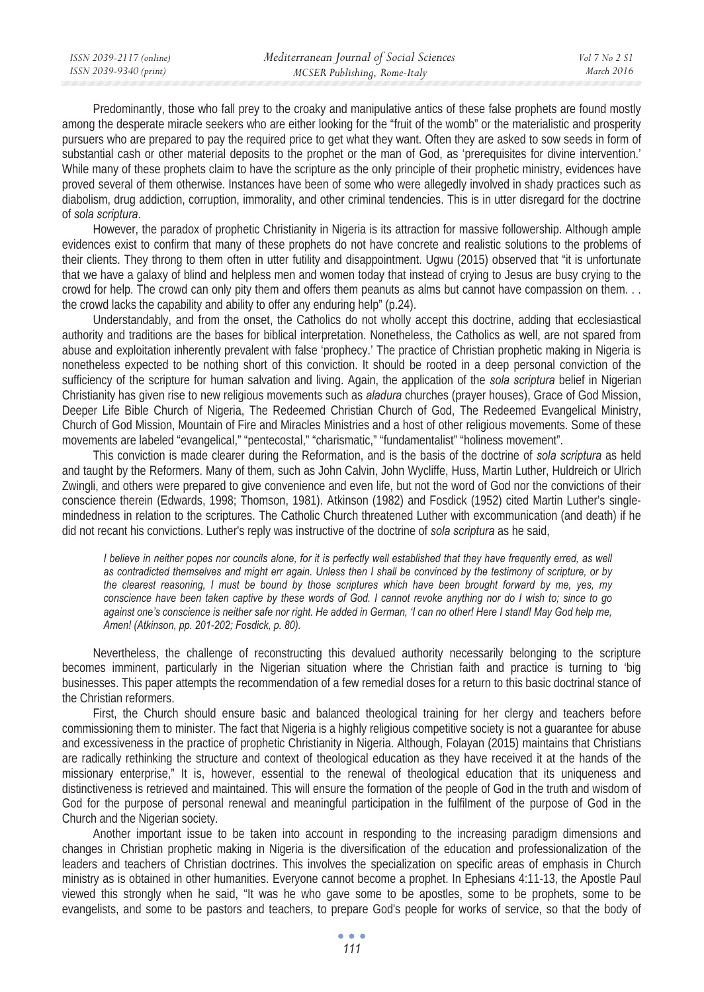Predominantly, those who fall prey to the croaky and manipulative antics of these false prophets are found mostly among the desperate miracle seekers who are either looking for the "fruit of the womb" or the materialistic and prosperity pursuers who are prepared to pay the required price to get what they want. Often they are asked to sow seeds in form of substantial cash or other material deposits to the prophet or the man of God, as 'prerequisites for divine intervention.' While many of these prophets claim to have the scripture as the only principle of their prophetic ministry, evidences have proved several of them otherwise. Instances have been of some who were allegedly involved in shady practices such as diabolism, drug addiction, corruption, immorality, and other criminal tendencies. This is in utter disregard for the doctrine of *sola scriptura*.

However, the paradox of prophetic Christianity in Nigeria is its attraction for massive followership. Although ample evidences exist to confirm that many of these prophets do not have concrete and realistic solutions to the problems of their clients. They throng to them often in utter futility and disappointment. Ugwu (2015) observed that "it is unfortunate that we have a galaxy of blind and helpless men and women today that instead of crying to Jesus are busy crying to the crowd for help. The crowd can only pity them and offers them peanuts as alms but cannot have compassion on them. . . the crowd lacks the capability and ability to offer any enduring help" (p.24).

Understandably, and from the onset, the Catholics do not wholly accept this doctrine, adding that ecclesiastical authority and traditions are the bases for biblical interpretation. Nonetheless, the Catholics as well, are not spared from abuse and exploitation inherently prevalent with false 'prophecy.' The practice of Christian prophetic making in Nigeria is nonetheless expected to be nothing short of this conviction. It should be rooted in a deep personal conviction of the sufficiency of the scripture for human salvation and living. Again, the application of the *sola scriptura* belief in Nigerian Christianity has given rise to new religious movements such as *aladura* churches (prayer houses), Grace of God Mission, Deeper Life Bible Church of Nigeria, The Redeemed Christian Church of God, The Redeemed Evangelical Ministry, Church of God Mission, Mountain of Fire and Miracles Ministries and a host of other religious movements. Some of these movements are labeled "evangelical," "pentecostal," "charismatic," "fundamentalist" "holiness movement".

This conviction is made clearer during the Reformation, and is the basis of the doctrine of *sola scriptura* as held and taught by the Reformers. Many of them, such as John Calvin, John Wycliffe, Huss, Martin Luther, Huldreich or Ulrich Zwingli, and others were prepared to give convenience and even life, but not the word of God nor the convictions of their conscience therein (Edwards, 1998; Thomson, 1981). Atkinson (1982) and Fosdick (1952) cited Martin Luther's singlemindedness in relation to the scriptures. The Catholic Church threatened Luther with excommunication (and death) if he did not recant his convictions. Luther's reply was instructive of the doctrine of *sola scriptura* as he said,

*I* believe in neither popes nor councils alone, for it is perfectly well established that they have frequently erred, as well *as contradicted themselves and might err again. Unless then I shall be convinced by the testimony of scripture, or by the clearest reasoning, I must be bound by those scriptures which have been brought forward by me, yes, my conscience have been taken captive by these words of God. I cannot revoke anything nor do I wish to; since to go against one's conscience is neither safe nor right. He added in German, 'I can no other! Here I stand! May God help me, Amen! (Atkinson, pp. 201-202; Fosdick, p. 80).* 

Nevertheless, the challenge of reconstructing this devalued authority necessarily belonging to the scripture becomes imminent, particularly in the Nigerian situation where the Christian faith and practice is turning to 'big businesses. This paper attempts the recommendation of a few remedial doses for a return to this basic doctrinal stance of the Christian reformers.

First, the Church should ensure basic and balanced theological training for her clergy and teachers before commissioning them to minister. The fact that Nigeria is a highly religious competitive society is not a guarantee for abuse and excessiveness in the practice of prophetic Christianity in Nigeria. Although, Folayan (2015) maintains that Christians are radically rethinking the structure and context of theological education as they have received it at the hands of the missionary enterprise," It is, however, essential to the renewal of theological education that its uniqueness and distinctiveness is retrieved and maintained. This will ensure the formation of the people of God in the truth and wisdom of God for the purpose of personal renewal and meaningful participation in the fulfilment of the purpose of God in the Church and the Nigerian society.

Another important issue to be taken into account in responding to the increasing paradigm dimensions and changes in Christian prophetic making in Nigeria is the diversification of the education and professionalization of the leaders and teachers of Christian doctrines. This involves the specialization on specific areas of emphasis in Church ministry as is obtained in other humanities. Everyone cannot become a prophet. In Ephesians 4:11-13, the Apostle Paul viewed this strongly when he said, "It was he who gave some to be apostles, some to be prophets, some to be evangelists, and some to be pastors and teachers, to prepare God's people for works of service, so that the body of